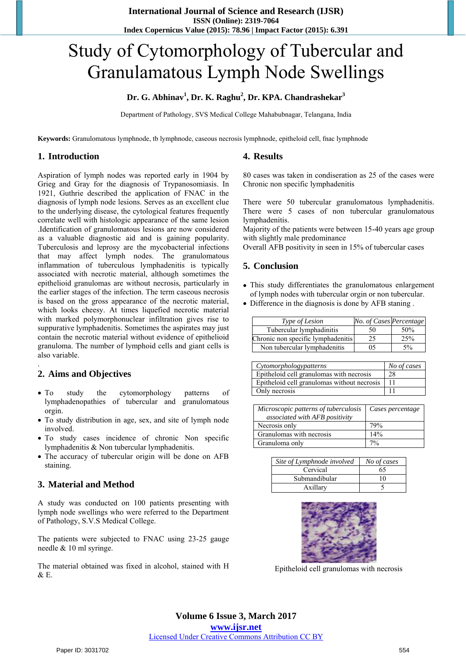# Study of Cytomorphology of Tubercular and Granulamatous Lymph Node Swellings

## **Dr. G. Abhinav<sup>1</sup> , Dr. K. Raghu<sup>2</sup> , Dr. KPA. Chandrashekar<sup>3</sup>**

Department of Pathology, SVS Medical College Mahabubnagar, Telangana, India

**Keywords:** Granulomatous lymphnode, tb lymphnode, caseous necrosis lymphnode, epitheloid cell, fnac lymphnode

### **1. Introduction**

**4. Results** 

Aspiration of lymph nodes was reported early in 1904 by Grieg and Gray for the diagnosis of Trypanosomiasis. In 1921, Guthrie described the application of FNAC in the diagnosis of lymph node lesions. Serves as an excellent clue to the underlying disease, the cytological features frequently correlate well with histologic appearance of the same lesion .Identification of granulomatous lesions are now considered as a valuable diagnostic aid and is gaining popularity. Tuberculosis and leprosy are the mycobacterial infections that may affect lymph nodes. The granulomatous inflammation of tuberculous lymphadenitis is typically associated with necrotic material, although sometimes the epithelioid granulomas are without necrosis, particularly in the earlier stages of the infection. The term caseous necrosis is based on the gross appearance of the necrotic material, which looks cheesy. At times liquefied necrotic material with marked polymorphonuclear infiltration gives rise to suppurative lymphadenitis. Sometimes the aspirates may just contain the necrotic material without evidence of epithelioid granuloma. The number of lymphoid cells and giant cells is also variable.

# **2. Aims and Objectives**

.

- To study the cytomorphology patterns of lymphadenopathies of tubercular and granulomatous orgin.
- To study distribution in age, sex, and site of lymph node involved.
- To study cases incidence of chronic Non specific lymphadenitis & Non tubercular lymphadenitis.
- The accuracy of tubercular origin will be done on AFB staining.

## **3. Material and Method**

A study was conducted on 100 patients presenting with lymph node swellings who were referred to the Department of Pathology, S.V.S Medical College.

The patients were subjected to FNAC using 23-25 gauge needle & 10 ml syringe.

The material obtained was fixed in alcohol, stained with H & E.

80 cases was taken in condiseration as 25 of the cases were Chronic non specific lymphadenitis

There were 50 tubercular granulomatous lymphadenitis. There were 5 cases of non tubercular granulomatous lymphadenitis.

Majority of the patients were between 15-40 years age group with slightly male predominance

Overall AFB positivity in seen in 15% of tubercular cases

# **5. Conclusion**

- This study differentiates the granulomatous enlargement of lymph nodes with tubercular orgin or non tubercular.
- Difference in the diagnosis is done by AFB staning .

| Type of Lesion                     | No. of Cases Percentage |     |
|------------------------------------|-------------------------|-----|
| Tubercular lymphadinitis           | 50                      | 50% |
| Chronic non specific lymphadenitis | 25                      | 25% |
| Non tubercular lymphadenitis       | 05                      | 5%  |

| Cytomorphologypatterns                      | No of cases |
|---------------------------------------------|-------------|
| Epitheloid cell granulomas with necrosis    | 28          |
| Epitheloid cell granulomas without necrosis |             |
| Only necrosis                               |             |

| Microscopic patterns of tuberculosis<br>associated with AFB positivity | Cases percentage |
|------------------------------------------------------------------------|------------------|
| Necrosis only                                                          | 79%              |
| Granulomas with necrosis                                               | 14%              |
| Granuloma only                                                         | 70/6             |

| Site of Lymphnode involved | No of cases |
|----------------------------|-------------|
| Cervical                   | 65          |
| Submandibular              | 10          |
| Axillary                   |             |



Epitheloid cell granulomas with necrosis